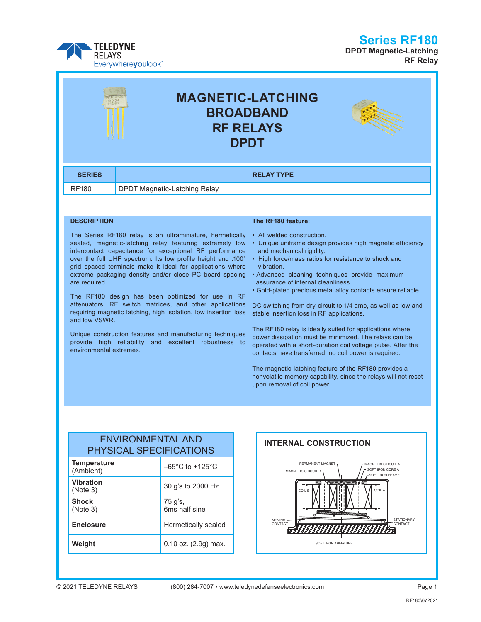#### **Series RF180**



**DPDT Magnetic-Latching RF Relay**

| <b>MAGNETIC-LATCHING</b><br><b>BROADBAND</b><br><b>RF RELAYS</b><br><b>DPDT</b> |                                     |  |
|---------------------------------------------------------------------------------|-------------------------------------|--|
| <b>SERIES</b>                                                                   | <b>RELAY TYPE</b>                   |  |
| <b>RF180</b>                                                                    | <b>DPDT Magnetic-Latching Relay</b> |  |
|                                                                                 |                                     |  |

#### **DESCRIPTION**

The Series RF180 relay is an ultraminiature, hermetically sealed, magnetic-latching relay featuring extremely low intercontact capacitance for exceptional RF performance over the full UHF spectrum. Its low profile height and .100" grid spaced terminals make it ideal for applications where extreme packaging density and/or close PC board spacing are required.

The RF180 design has been optimized for use in RF attenuators, RF switch matrices, and other applications requiring magnetic latching, high isolation, low insertion loss and low VSWR.

Unique construction features and manufacturing techniques provide high reliability and excellent robustness to environmental extremes.

#### **The RF180 feature:**

- All welded construction.
- Unique uniframe design provides high magnetic efficiency and mechanical rigidity.
- High force/mass ratios for resistance to shock and vibration.
- Advanced cleaning techniques provide maximum assurance of internal cleanliness.
- Gold-plated precious metal alloy contacts ensure reliable

DC switching from dry-circuit to 1/4 amp, as well as low and stable insertion loss in RF applications.

The RF180 relay is ideally suited for applications where power dissipation must be minimized. The relays can be operated with a short-duration coil voltage pulse. After the contacts have transferred, no coil power is required.

The magnetic-latching feature of the RF180 provides a nonvolatile memory capability, since the relays will not reset upon removal of coil power.

#### ENVIRONMENTAL AND PHYSICAL SPECIFICATIONS

| <b>Temperature</b><br>(Ambient) | $-65^{\circ}$ C to +125 $^{\circ}$ C |  |
|---------------------------------|--------------------------------------|--|
| <b>Vibration</b><br>(Note 3)    | 30 g's to 2000 Hz                    |  |
| <b>Shock</b><br>(Note 3)        | 75 g's,<br>6ms half sine             |  |
| <b>Enclosure</b>                | Hermetically sealed                  |  |
| Weight                          | 0.10 oz. (2.9g) max.                 |  |

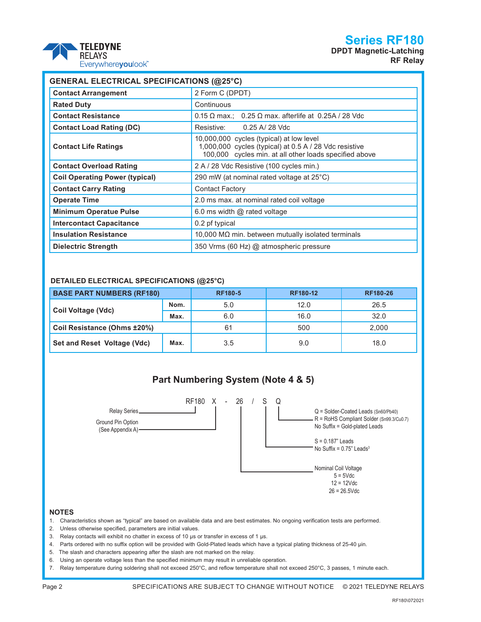### **Series RF180**



|  | <b>TELEDYNE</b>           |
|--|---------------------------|
|  | <b>REI AYS</b>            |
|  | Everywhere <b>youlook</b> |

| <b>GENERAL ELECTRICAL SPECIFICATIONS (@25°C)</b> |                                                                                                                                                              |  |  |  |  |
|--------------------------------------------------|--------------------------------------------------------------------------------------------------------------------------------------------------------------|--|--|--|--|
| <b>Contact Arrangement</b>                       | 2 Form C (DPDT)                                                                                                                                              |  |  |  |  |
| <b>Rated Duty</b>                                | Continuous                                                                                                                                                   |  |  |  |  |
| <b>Contact Resistance</b>                        | $0.15 \Omega$ max.; 0.25 $\Omega$ max. afterlife at 0.25A / 28 Vdc                                                                                           |  |  |  |  |
| <b>Contact Load Rating (DC)</b>                  | 0.25 A/ 28 Vdc<br>Resistive:                                                                                                                                 |  |  |  |  |
| <b>Contact Life Ratings</b>                      | 10,000,000 cycles (typical) at low level<br>1,000,000 cycles (typical) at 0.5 A / 28 Vdc resistive<br>100,000 cycles min. at all other loads specified above |  |  |  |  |
| <b>Contact Overload Rating</b>                   | 2 A / 28 Vdc Resistive (100 cycles min.)                                                                                                                     |  |  |  |  |
| <b>Coil Operating Power (typical)</b>            | 290 mW (at nominal rated voltage at 25°C)                                                                                                                    |  |  |  |  |
| <b>Contact Carry Rating</b>                      | <b>Contact Factory</b>                                                                                                                                       |  |  |  |  |
| <b>Operate Time</b>                              | 2.0 ms max. at nominal rated coil voltage                                                                                                                    |  |  |  |  |
| <b>Minimum Operatue Pulse</b>                    | 6.0 ms width $@$ rated voltage                                                                                                                               |  |  |  |  |
| <b>Intercontact Capacitance</b>                  | 0.2 pf typical                                                                                                                                               |  |  |  |  |
| <b>Insulation Resistance</b>                     | 10,000 M $\Omega$ min. between mutually isolated terminals                                                                                                   |  |  |  |  |
| <b>Dielectric Strength</b>                       | 350 Vrms (60 Hz) @ atmospheric pressure                                                                                                                      |  |  |  |  |

#### **DETAILED ELECTRICAL SPECIFICATIONS (@25°C)**

| <b>BASE PART NUMBERS (RF180)</b> |      | <b>RF180-5</b> | RF180-12 | <b>RF180-26</b> |
|----------------------------------|------|----------------|----------|-----------------|
|                                  | Nom. | 5.0            | 12.0     | 26.5            |
| Coil Voltage (Vdc)               | Max. | 6.0            | 16.0     | 32.0            |
| Coil Resistance (Ohms ±20%)      |      | 61             | 500      | 2.000           |
| Set and Reset Voltage (Vdc)      | Max. | 3.5            | 9.0      | 18.0            |



- 3. Relay contacts will exhibit no chatter in excess of 10 µs or transfer in excess of 1 µs.
- 4. Parts ordered with no suffix option will be provided with Gold-Plated leads which have a typical plating thickness of 25-40 µin.
- 5. The slash and characters appearing after the slash are not marked on the relay.
- 6. Using an operate voltage less than the specified minimum may result in unreliable operation.
- 7. Relay temperature during soldering shall not exceed 250°C, and reflow temperature shall not exceed 250°C, 3 passes, 1 minute each.

**NOTES**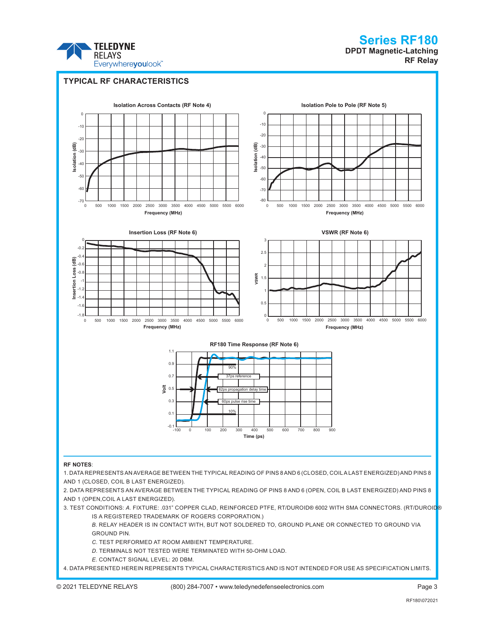

## **Series RF180 DPDT Magnetic-Latching**

**RF Relay**



2. DATA REPRESENTS AN AVERAGE BETWEEN THE TYPICAL READING OF PINS 8 AND 6 (OPEN, COIL B LAST ENERGIZED) AND PINS 8 AND 1 (OPEN,COIL A LAST ENERGIZED).

3. TEST CONDITIONS: *A*. FIXTURE: .031" COPPER CLAD, REINFORCED PTFE, RT/DUROID® 6002 WITH SMA CONNECTORS. (RT/DUROID® IS A REGISTERED TRADEMARK OF ROGERS CORPORATION.)

*B*. RELAY HEADER IS IN CONTACT WITH, BUT NOT SOLDERED TO, GROUND PLANE OR CONNECTED TO GROUND VIA GROUND PIN.

*C*. TEST PERFORMED AT ROOM AMBIENT TEMPERATURE.

*D*. TERMINALS NOT TESTED WERE TERMINATED WITH 50-OHM LOAD.

*E*. CONTACT SIGNAL LEVEL: 20 DBM.

4. DATA PRESENTED HEREIN REPRESENTS TYPICAL CHARACTERISTICS AND IS NOT INTENDED FOR USE AS SPECIFICATION LIMITS.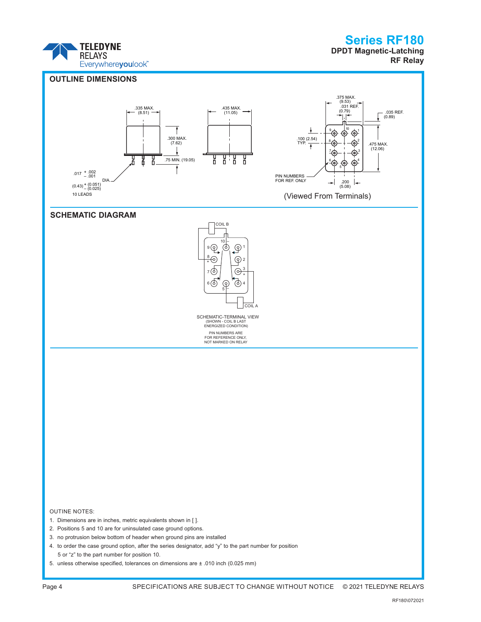

## Series RF180

**DPDT Magnetic-Latching RF Relay**



Page 4 SPECIFICATIONS ARE SUBJECT TO CHANGE WITHOUT NOTICE © 2021 TELEDYNE RELAYS